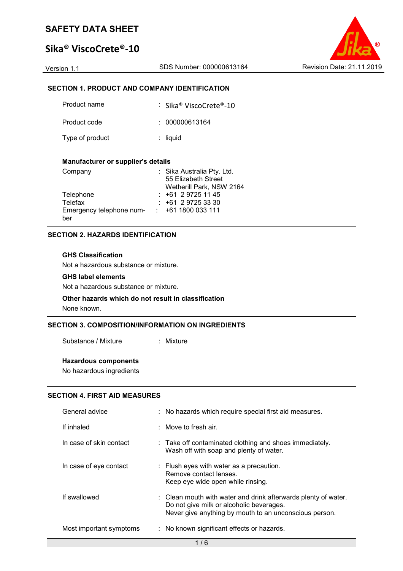# **Sika® ViscoCrete®-10**



### **SECTION 1. PRODUCT AND COMPANY IDENTIFICATION**

| Product name    | : Sika® ViscoCrete®-10 |
|-----------------|------------------------|
| Product code    | : 000000613164         |
| Type of product | $:$ liquid             |

#### **Manufacturer or supplier's details**

| Company                  | : Sika Australia Pty. Ltd. |
|--------------------------|----------------------------|
|                          | 55 Elizabeth Street        |
|                          | Wetherill Park, NSW 2164   |
| Telephone                | $: +61297251145$           |
| Telefax                  | $: +61297253330$           |
| Emergency telephone num- | $: +611800033111$          |
| ber                      |                            |

#### **SECTION 2. HAZARDS IDENTIFICATION**

#### **GHS Classification**

Not a hazardous substance or mixture.

#### **GHS label elements**

Not a hazardous substance or mixture.

#### **Other hazards which do not result in classification** None known.

## **SECTION 3. COMPOSITION/INFORMATION ON INGREDIENTS**

Substance / Mixture : Mixture

#### **Hazardous components**

No hazardous ingredients

#### **SECTION 4. FIRST AID MEASURES**

| General advice          | : No hazards which require special first aid measures.                                                                                                                          |
|-------------------------|---------------------------------------------------------------------------------------------------------------------------------------------------------------------------------|
| If inhaled              | $\therefore$ Move to fresh air.                                                                                                                                                 |
| In case of skin contact | : Take off contaminated clothing and shoes immediately.<br>Wash off with soap and plenty of water.                                                                              |
| In case of eye contact  | $\therefore$ Flush eyes with water as a precaution.<br>Remove contact lenses.<br>Keep eye wide open while rinsing.                                                              |
| If swallowed            | $\therefore$ Clean mouth with water and drink afterwards plenty of water.<br>Do not give milk or alcoholic beverages.<br>Never give anything by mouth to an unconscious person. |
| Most important symptoms | : No known significant effects or hazards.                                                                                                                                      |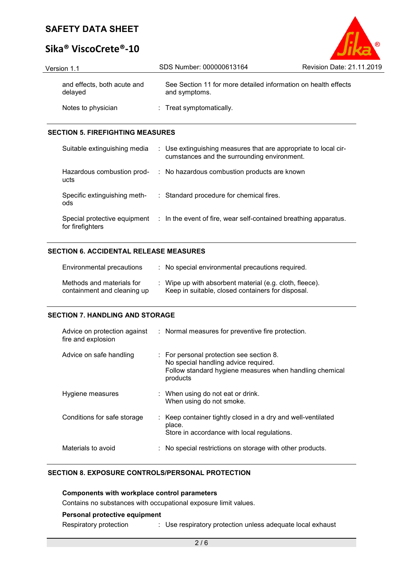# **Sika® ViscoCrete®-10**

| Version 1.1                            | SDS Number: 000000613164                                                        | <b>Revision Date: 21.11.2019</b> |
|----------------------------------------|---------------------------------------------------------------------------------|----------------------------------|
| and effects, both acute and<br>delayed | See Section 11 for more detailed information on health effects<br>and symptoms. |                                  |
| Notes to physician                     | : Treat symptomatically.                                                        |                                  |

O

#### **SECTION 5. FIREFIGHTING MEASURES**

| Suitable extinguishing media        | : Use extinguishing measures that are appropriate to local cir-<br>cumstances and the surrounding environment. |
|-------------------------------------|----------------------------------------------------------------------------------------------------------------|
| Hazardous combustion prod-<br>ucts  | : No hazardous combustion products are known                                                                   |
| Specific extinguishing meth-<br>ods | : Standard procedure for chemical fires.                                                                       |
| for firefighters                    | Special protective equipment : In the event of fire, wear self-contained breathing apparatus.                  |

#### **SECTION 6. ACCIDENTAL RELEASE MEASURES**

| Environmental precautions                                | : No special environmental precautions required.                                                             |
|----------------------------------------------------------|--------------------------------------------------------------------------------------------------------------|
| Methods and materials for<br>containment and cleaning up | : Wipe up with absorbent material (e.g. cloth, fleece).<br>Keep in suitable, closed containers for disposal. |

#### **SECTION 7. HANDLING AND STORAGE**

| Advice on protection against<br>fire and explosion | : Normal measures for preventive fire protection.                                                                                                                  |
|----------------------------------------------------|--------------------------------------------------------------------------------------------------------------------------------------------------------------------|
| Advice on safe handling                            | $\therefore$ For personal protection see section 8.<br>No special handling advice required.<br>Follow standard hygiene measures when handling chemical<br>products |
| Hygiene measures                                   | $\therefore$ When using do not eat or drink.<br>When using do not smoke.                                                                                           |
| Conditions for safe storage                        | : Keep container tightly closed in a dry and well-ventilated<br>place.<br>Store in accordance with local regulations.                                              |
| Materials to avoid                                 | No special restrictions on storage with other products.                                                                                                            |

### **SECTION 8. EXPOSURE CONTROLS/PERSONAL PROTECTION**

**Components with workplace control parameters** Contains no substances with occupational exposure limit values. **Personal protective equipment**

Respiratory protection : Use respiratory protection unless adequate local exhaust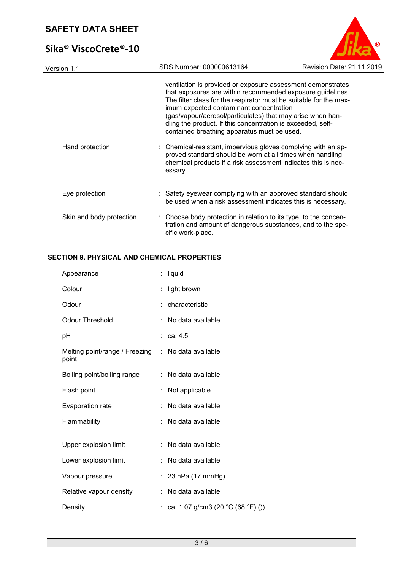# **Sika® ViscoCrete®-10**



| Version 1.1              | SDS Number: 000000613164 |                                                                                                                                                                                                                                                                                                                                                                                                                                                                                                                                                                                                                      | Revision Date: 21.11.2019 |
|--------------------------|--------------------------|----------------------------------------------------------------------------------------------------------------------------------------------------------------------------------------------------------------------------------------------------------------------------------------------------------------------------------------------------------------------------------------------------------------------------------------------------------------------------------------------------------------------------------------------------------------------------------------------------------------------|---------------------------|
| Hand protection          | essary.                  | ventilation is provided or exposure assessment demonstrates<br>that exposures are within recommended exposure guidelines.<br>The filter class for the respirator must be suitable for the max-<br>imum expected contaminant concentration<br>(gas/vapour/aerosol/particulates) that may arise when han-<br>dling the product. If this concentration is exceeded, self-<br>contained breathing apparatus must be used.<br>: Chemical-resistant, impervious gloves complying with an ap-<br>proved standard should be worn at all times when handling<br>chemical products if a risk assessment indicates this is nec- |                           |
| Eye protection           |                          | : Safety eyewear complying with an approved standard should<br>be used when a risk assessment indicates this is necessary.                                                                                                                                                                                                                                                                                                                                                                                                                                                                                           |                           |
| Skin and body protection | cific work-place.        | : Choose body protection in relation to its type, to the concen-<br>tration and amount of dangerous substances, and to the spe-                                                                                                                                                                                                                                                                                                                                                                                                                                                                                      |                           |
|                          |                          |                                                                                                                                                                                                                                                                                                                                                                                                                                                                                                                                                                                                                      |                           |

## **SECTION 9. PHYSICAL AND CHEMICAL PROPERTIES**

| Appearance                              | ÷. | liquid                              |
|-----------------------------------------|----|-------------------------------------|
| Colour                                  |    | light brown                         |
| Odour                                   |    | : characteristic                    |
| <b>Odour Threshold</b>                  |    | No data available                   |
| рH                                      |    | $\therefore$ ca. 4.5                |
| Melting point/range / Freezing<br>point |    | : No data available                 |
| Boiling point/boiling range             |    | : No data available                 |
| Flash point                             |    | Not applicable                      |
| Evaporation rate                        |    | No data available                   |
| Flammability                            |    | No data available                   |
|                                         |    |                                     |
| Upper explosion limit                   |    | No data available                   |
| Lower explosion limit                   |    | No data available                   |
| Vapour pressure                         |    | 23 hPa (17 mmHg)                    |
| Relative vapour density                 |    | No data available                   |
| Density                                 |    | : ca. 1.07 g/cm3 (20 °C (68 °F) ()) |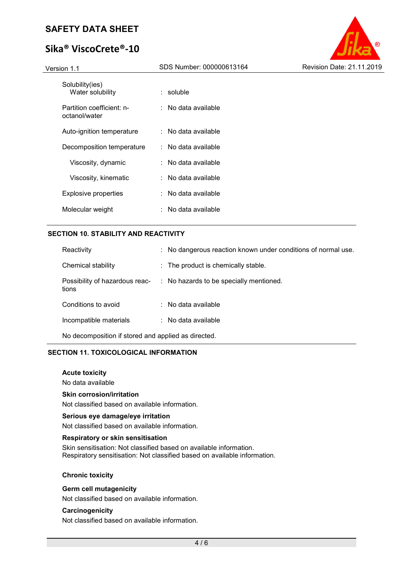# **Sika® ViscoCrete®-10**



| Solubility(ies)<br>Water solubility        | : soluble           |
|--------------------------------------------|---------------------|
| Partition coefficient: n-<br>octanol/water | : No data available |
| Auto-ignition temperature                  | ∶ No data available |
| Decomposition temperature                  | ∶ No data available |
| Viscosity, dynamic                         | ∶ No data available |
| Viscosity, kinematic                       | ∶ No data available |
| Explosive properties                       | ∶ No data available |
| Molecular weight                           | ∶ No data available |
|                                            |                     |

#### **SECTION 10. STABILITY AND REACTIVITY**

| Reactivity                                          |  | : No dangerous reaction known under conditions of normal use. |  |  |
|-----------------------------------------------------|--|---------------------------------------------------------------|--|--|
| Chemical stability                                  |  | : The product is chemically stable.                           |  |  |
| Possibility of hazardous reac-<br>tions             |  | : No hazards to be specially mentioned.                       |  |  |
| Conditions to avoid                                 |  | $\therefore$ No data available                                |  |  |
| Incompatible materials                              |  | $\therefore$ No data available                                |  |  |
| No decomposition if stored and applied as directed. |  |                                                               |  |  |

#### **SECTION 11. TOXICOLOGICAL INFORMATION**

#### **Acute toxicity**

No data available

#### **Skin corrosion/irritation**

Not classified based on available information.

#### **Serious eye damage/eye irritation**

Not classified based on available information.

#### **Respiratory or skin sensitisation**

Skin sensitisation: Not classified based on available information. Respiratory sensitisation: Not classified based on available information.

#### **Chronic toxicity**

#### **Germ cell mutagenicity**

Not classified based on available information.

#### **Carcinogenicity**

Not classified based on available information.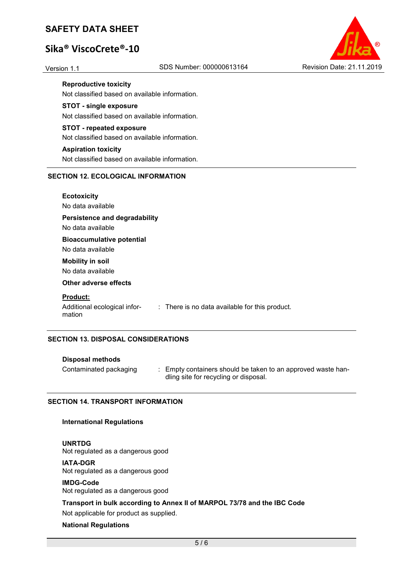# **Sika® ViscoCrete®-10**



**Reproductive toxicity** 

Not classified based on available information.

#### **STOT - single exposure**

Not classified based on available information.

#### **STOT - repeated exposure**

Not classified based on available information.

#### **Aspiration toxicity**

Not classified based on available information.

#### **SECTION 12. ECOLOGICAL INFORMATION**

**Ecotoxicity**  No data available

#### **Persistence and degradability**

No data available

#### **Bioaccumulative potential**

No data available

## **Mobility in soil**

No data available

#### **Other adverse effects**

#### **Product:**

mation

Additional ecological infor-: There is no data available for this product.

#### **SECTION 13. DISPOSAL CONSIDERATIONS**

#### **Disposal methods**

- 
- Contaminated packaging : Empty containers should be taken to an approved waste handling site for recycling or disposal.

#### **SECTION 14. TRANSPORT INFORMATION**

#### **International Regulations**

#### **UNRTDG**

Not regulated as a dangerous good

#### **IATA-DGR**

Not regulated as a dangerous good

#### **IMDG-Code**

Not regulated as a dangerous good

#### **Transport in bulk according to Annex II of MARPOL 73/78 and the IBC Code**

Not applicable for product as supplied.

#### **National Regulations**